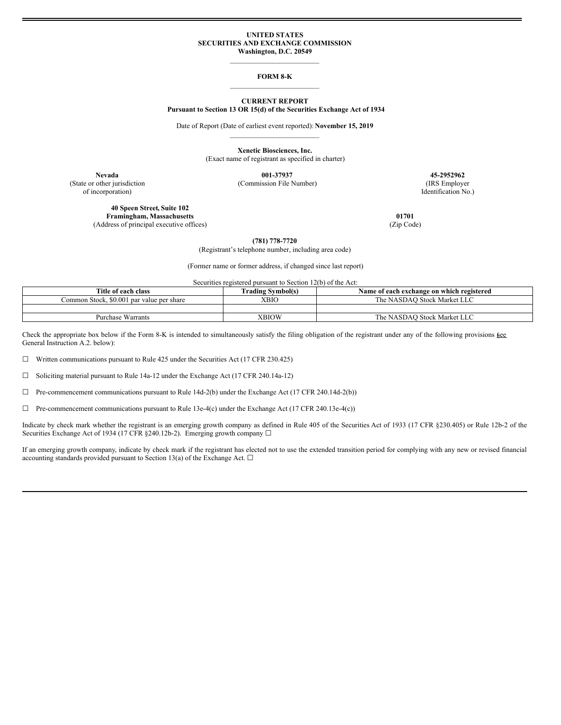### **UNITED STATES SECURITIES AND EXCHANGE COMMISSION Washington, D.C. 20549**

# $\mathcal{L}_\text{max}$ **FORM 8-K**  $\mathcal{L}_\text{max}$

### **CURRENT REPORT**

**Pursuant to Section 13 OR 15(d) of the Securities Exchange Act of 1934**

Date of Report (Date of earliest event reported): **November 15, 2019**  $\mathcal{L}_\text{max}$ 

> **Xenetic Biosciences, Inc.** (Exact name of registrant as specified in charter)

(State or other jurisdiction (Commission File Number) (IRS Employer

**Nevada 001-37937 45-2952962**

of incorporation) Identification No.)

**40 Speen Street, Suite 102 Framingham, Massachusetts 01701** (Address of principal executive offices) (Zip Code)

**(781) 778-7720**

(Registrant's telephone number, including area code)

(Former name or former address, if changed since last report)

Securities registered pursuant to Section 12(b) of the Act:

| Title of each class                       | <b>Trading Symbol(s)</b> | Name of each exchange on which registered |
|-------------------------------------------|--------------------------|-------------------------------------------|
| Common Stock, \$0.001 par value per share | <b>XBIO</b>              | The NASDAO Stock Market LLC               |
|                                           |                          |                                           |
| <b>Purchase Warrants</b>                  | XBIOW                    | The NASDAO Stock Market LLC               |

Check the appropriate box below if the Form 8-K is intended to simultaneously satisfy the filing obligation of the registrant under any of the following provisions  $\frac{6 \text{ee}}{2}$ General Instruction A.2. below):

☐ Written communications pursuant to Rule 425 under the Securities Act (17 CFR 230.425)

☐ Soliciting material pursuant to Rule 14a-12 under the Exchange Act (17 CFR 240.14a-12)

☐ Pre-commencement communications pursuant to Rule 14d-2(b) under the Exchange Act (17 CFR 240.14d-2(b))

☐ Pre-commencement communications pursuant to Rule 13e-4(c) under the Exchange Act (17 CFR 240.13e-4(c))

Indicate by check mark whether the registrant is an emerging growth company as defined in Rule 405 of the Securities Act of 1933 (17 CFR §230.405) or Rule 12b-2 of the Securities Exchange Act of 1934 (17 CFR §240.12b-2). Emerging growth company □

If an emerging growth company, indicate by check mark if the registrant has elected not to use the extended transition period for complying with any new or revised financial accounting standards provided pursuant to Section 13(a) of the Exchange Act.  $\Box$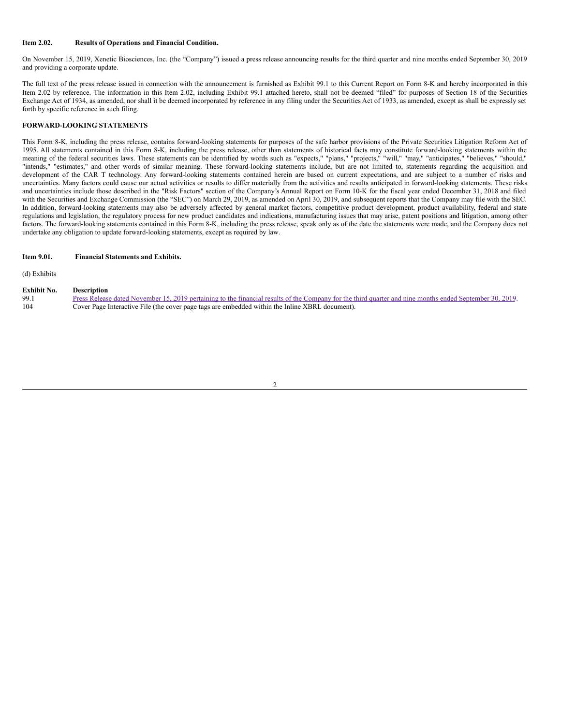#### **Item 2.02. Results of Operations and Financial Condition.**

On November 15, 2019, Xenetic Biosciences, Inc. (the "Company") issued a press release announcing results for the third quarter and nine months ended September 30, 2019 and providing a corporate update.

The full text of the press release issued in connection with the announcement is furnished as Exhibit 99.1 to this Current Report on Form 8-K and hereby incorporated in this Item 2.02 by reference. The information in this Item 2.02, including Exhibit 99.1 attached hereto, shall not be deemed "filed" for purposes of Section 18 of the Securities Exchange Act of 1934, as amended, nor shall it be deemed incorporated by reference in any filing under the Securities Act of 1933, as amended, except as shall be expressly set forth by specific reference in such filing.

### **FORWARD-LOOKING STATEMENTS**

This Form 8-K, including the press release, contains forward-looking statements for purposes of the safe harbor provisions of the Private Securities Litigation Reform Act of 1995. All statements contained in this Form 8-K, including the press release, other than statements of historical facts may constitute forward-looking statements within the meaning of the federal securities laws. These statements can be identified by words such as "expects," "plans," "projects," "will," "may," "anticipates," "believes," "should," "intends," "estimates," and other words of similar meaning. These forward-looking statements include, but are not limited to, statements regarding the acquisition and development of the CAR T technology. Any forward-looking statements contained herein are based on current expectations, and are subject to a number of risks and uncertainties. Many factors could cause our actual activities or results to differ materially from the activities and results anticipated in forward-looking statements. These risks and uncertainties include those described in the "Risk Factors" section of the Company's Annual Report on Form 10-K for the fiscal year ended December 31, 2018 and filed with the Securities and Exchange Commission (the "SEC") on March 29, 2019, as amended on April 30, 2019, and subsequent reports that the Company may file with the SEC. In addition, forward-looking statements may also be adversely affected by general market factors, competitive product development, product availability, federal and state regulations and legislation, the regulatory process for new product candidates and indications, manufacturing issues that may arise, patent positions and litigation, among other factors. The forward-looking statements contained in this Form 8-K, including the press release, speak only as of the date the statements were made, and the Company does not undertake any obligation to update forward-looking statements, except as required by law.

(d) Exhibits

#### **Exhibit No. Description**

| 99.1 | Press Release dated November 15, 2019 pertaining to the financial results of the Company for the third quarter and nine months ended September 30, 2019. |
|------|----------------------------------------------------------------------------------------------------------------------------------------------------------|
| 104  | Cover Page Interactive File (the cover page tags are embedded within the Inline XBRL document).                                                          |

#### 2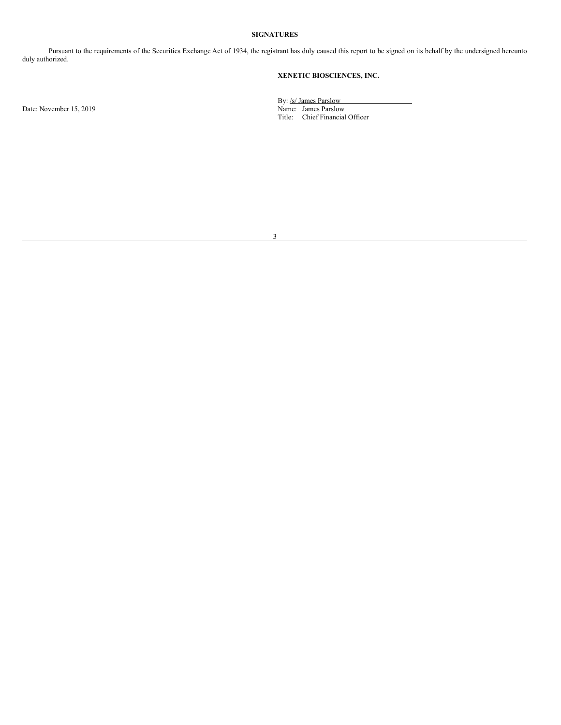## **SIGNATURES**

Pursuant to the requirements of the Securities Exchange Act of 1934, the registrant has duly caused this report to be signed on its behalf by the undersigned hereunto duly authorized.

# **XENETIC BIOSCIENCES, INC.**

Date: November 15, 2019

By: /s/ James Parslow Title: Chief Financial Officer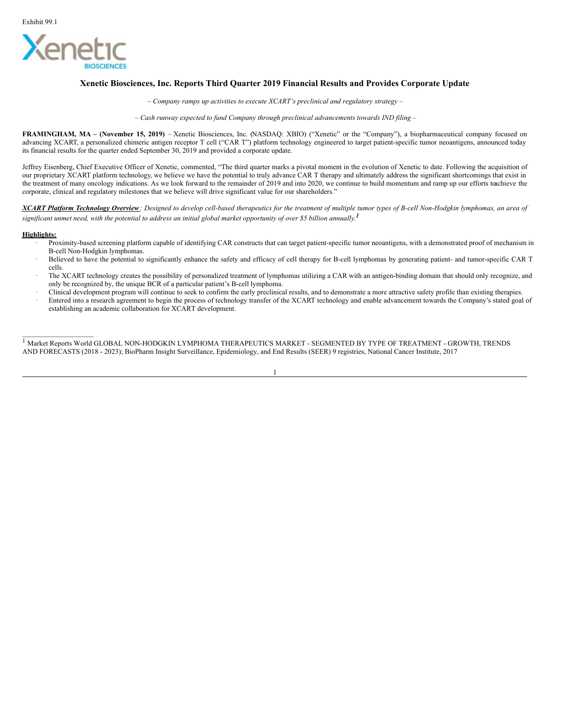<span id="page-3-0"></span>

# **Xenetic Biosciences, Inc. Reports Third Quarter 2019 Financial Results and Provides Corporate Update**

*– Company ramps up activities to execute XCART's preclinical and regulatory strategy –*

*– Cash runway expected to fund Company through preclinical advancements towards IND filing –*

**FRAMINGHAM, MA – (November 15, 2019)** – Xenetic Biosciences, Inc. (NASDAQ: XBIO) ("Xenetic" or the "Company"), a biopharmaceutical company focused on advancing XCART, a personalized chimeric antigen receptor T cell ("CAR T") platform technology engineered to target patient-specific tumor neoantigens, announced today its financial results for the quarter ended September 30, 2019 and provided a corporate update.

Jeffrey Eisenberg, Chief Executive Officer of Xenetic, commented, "The third quarter marks a pivotal moment in the evolution of Xenetic to date. Following the acquisition of our proprietary XCART platform technology, we believe we have the potential to truly advance CAR T therapy and ultimately address the significant shortcomings that exist in the treatment of many oncology indications. As we look forward to the remainder of 2019 and into 2020, we continue to build momentum and ramp up our efforts toachieve the corporate, clinical and regulatory milestones that we believe will drive significant value for our shareholders."

XCART Platform Technology Overview: Designed to develop cell-based therapeutics for the treatment of multiple tumor types of B-cell Non-Hodgkin lymphomas, an area of significant unmet need, with the potential to address an initial global market opportunity of over \$5 billion annually.<sup>1</sup>

### **Highlights:**

 $\mathcal{L}=\mathcal{L}=\mathcal{L}=\mathcal{L}=\mathcal{L}=\mathcal{L}=\mathcal{L}=\mathcal{L}=\mathcal{L}=\mathcal{L}=\mathcal{L}=\mathcal{L}=\mathcal{L}=\mathcal{L}=\mathcal{L}=\mathcal{L}=\mathcal{L}=\mathcal{L}=\mathcal{L}=\mathcal{L}=\mathcal{L}=\mathcal{L}=\mathcal{L}=\mathcal{L}=\mathcal{L}=\mathcal{L}=\mathcal{L}=\mathcal{L}=\mathcal{L}=\mathcal{L}=\mathcal{L}=\mathcal{L}=\mathcal{L}=\mathcal{L}=\mathcal{L}=\mathcal{L}=\mathcal{$ 

- Proximity-based screening platform capable of identifying CAR constructs that can target patient-specific tumor neoantigens, with a demonstrated proof of mechanism in B-cell Non-Hodgkin lymphomas.
- · Believed to have the potential to significantly enhance the safety and efficacy of cell therapy for B-cell lymphomas by generating patient- and tumor-specific CAR T cells.
- The XCART technology creates the possibility of personalized treatment of lymphomas utilizing a CAR with an antigen-binding domain that should only recognize, and only be recognized by, the unique BCR of a particular patient's B-cell lymphoma.
- · Clinical development program will continue to seek to confirm the early preclinical results, and to demonstrate a more attractive safety profile than existing therapies.
- Entered into a research agreement to begin the process of technology transfer of the XCART technology and enable advancement towards the Company's stated goal of establishing an academic collaboration for XCART development.

1 Market Reports World GLOBAL NON-HODGKIN LYMPHOMA THERAPEUTICS MARKET - SEGMENTED BY TYPE OF TREATMENT - GROWTH, TRENDS AND FORECASTS (2018 - 2023); BioPharm Insight Surveillance, Epidemiology, and End Results (SEER) 9 registries, National Cancer Institute, 2017

1